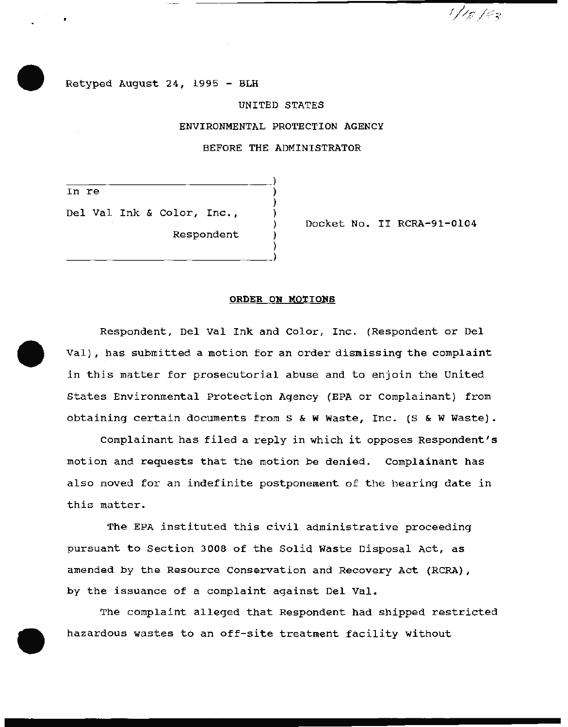Retyped August 24, 1995 - BLH

 $\mathcal{L}$ 

 $\frac{1}{2}$ 

Respondent

## UNITED STATES

ENVIRONMENTAL PROTECTION AGENCY

BEFORE THE ADMINISTRATOR

) ) ) ) ) )

In re

Del Val Ink & Color, Inc.,

Docket No. II RCRA-91-0104

1/10/03

## ORDER ON MOTIONS

Respondent, Del Val Ink and Color, Inc. (Respondent or Del Val), has submitted a motion for an order dismissing the complaint in this matter for prosecutorial abuse and to enjoin the United states Environmental Protection Agency (EPA or Complainant) from obtaining certain documents from s & w Waste, Inc. (S & W Waste).

complainant has filed a reply in which it opposes Respondent's motion and requests that the motion be denied. Complainant has also moved for an indefinite postponement of the hearing date in this matter.

The EPA instituted this civil administrative proceeding pursuant to Section 3008 of the Solid Waste Disposal Act, as amended by the Resource Conservation and Recovery Act (RCRA), by the issuance of a complaint against Del Val.

The complaint alleged that Respondent had shipped restricted hazardous wastes to an off-site treatment facility without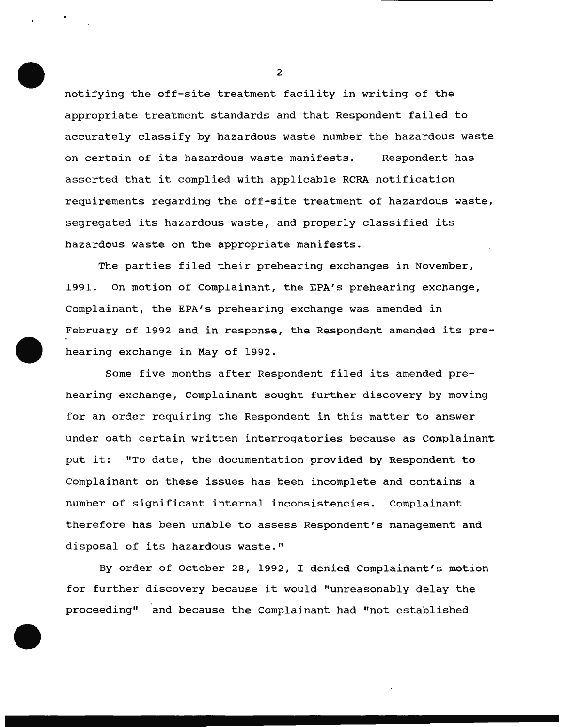notifying the off-site treatment facility in writing of the appropriate treatment standards and that Respondent failed to accurately classify by hazardous waste number the hazardous waste on certain of its hazardous waste manifests. Respondent has asserted that it complied with applicable RCRA notification requirements regarding the off-site treatment of hazardous waste, segregated its hazardous waste, and properly classified its hazardous waste on the appropriate manifests.

The parties filed their prehearing exchanges in November, 1991. On motion of Complainant, the EPA's prehearing exchange, Complainant, the EPA's prehearing exchange was amended in February of 1992 and in response, the Respondent amended its prehearing exchange in May of 1992.

Some five months after Respondent filed its amended prehearing exchange, Complainant sought further discovery by moving for an order requiring the Respondent in this matter to answer under oath certain written interrogatories because as Complainant put it: "To date, the documentation provided by Respondent to Complainant on these issues has been incomplete and contains a number of significant internal inconsistencies. Complainant therefore has been unable to assess Respondent's management and disposal of its hazardous waste."

By order of October 28, 1992, I denied Complainant's motion for further discovery because it would "unreasonably delay the proceeding" and because the Complainant had "not established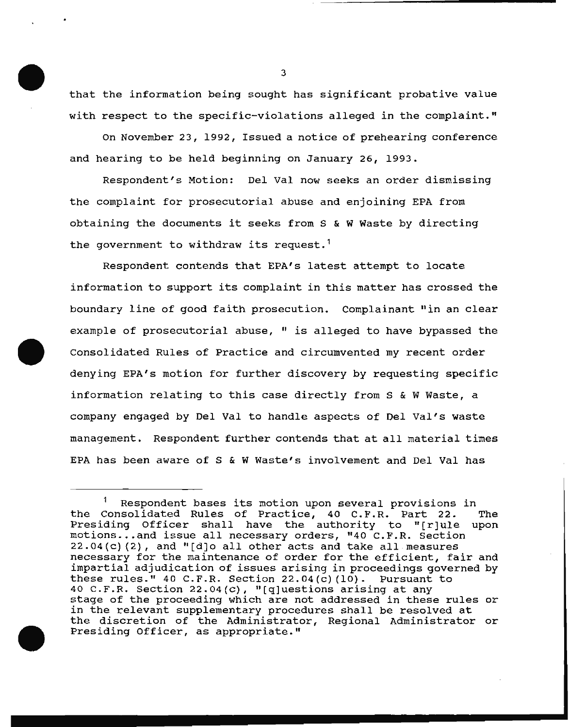that the information being sought has significant probative value with respect to the specific-violations alleged in the complaint."

on November 23, 1992, Issued a notice of prehearing conference and hearing to be held beginning on January 26, 1993.

Respondent's Motion: Del Val now seeks an order dismissing the complaint for prosecutorial abuse and enjoining EPA from obtaining the documents it seeks from S & W Waste by directing the government to withdraw its request.<sup>1</sup>

Respondent contends that EPA's latest attempt to locate information to support its complaint in this matter has crossed the boundary line of good faith prosecution. Complainant "in an clear example of prosecutorial abuse, " is alleged to have bypassed the Consolidated Rules of Practice and circumvented my recent order denying EPA's motion for further discovery by requesting specific information relating to this case directly from S & W Waste, a company engaged by Del Val to handle aspects of Del Val's waste management. Respondent further contends that at all material times EPA has been aware of S & W Waste's involvement and Del Val has

<sup>&</sup>lt;sup>1</sup> Respondent bases its motion upon several provisions in<br>Consolidated Rules of Practice, 40 C.F.R. Part 22. The the Consolidated Rules of Practice, 40 C.F.R. Part 22. Presiding Officer shall have the authority to "[r]ule upon motions ... and issue all necessary orders, "40 C.F.R. Section  $22.04(c)$  (2), and "[d]o all other acts and take all measures necessary for the maintenance of order for the efficient, fair and impartial adjudication of issues arising in proceedings governed by these rules." 40 C.F.R. Section 22.04(c) (10). Pursuant to 40 C.F.R. Section  $22.04(c)$ , "[q]uestions arising at any stage of the proceeding which are not addressed in these rules or in the relevant supplementary procedures shall be resolved at the discretion of the Administrator, Regional Administrator or Presiding Officer, as appropriate."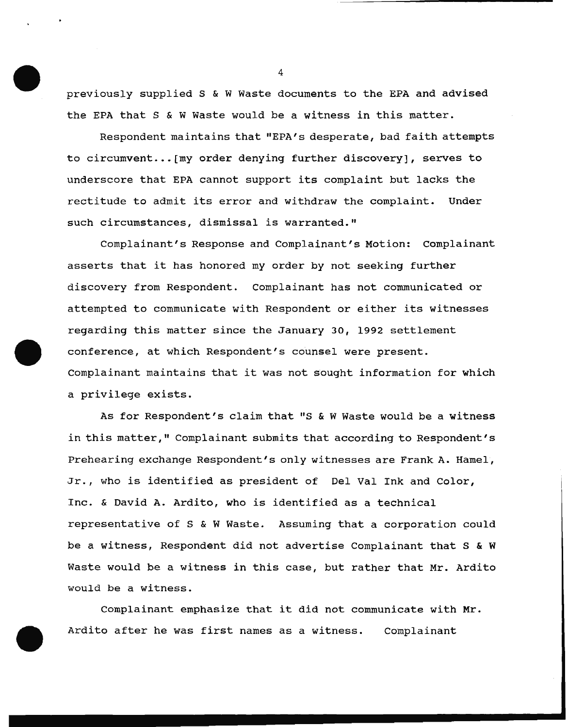previously supplied S & W Waste documents to the EPA and advised the EPA that S & W Waste would be a witness in this matter.

Respondent maintains that "EPA's desperate, bad faith attempts to circumvent... [my order denying further discovery], serves to underscore that EPA cannot support its complaint but lacks the rectitude to admit its error and withdraw the complaint. Under such circumstances, dismissal is warranted."

Complainant's Response and Complainant's Motion: Complainant asserts that it has honored my order by not seeking further discovery from Respondent. Complainant has not communicated or attempted to communicate with Respondent or either its witnesses regarding this matter since the January 30, 1992 settlement conference, at which Respondent's counsel were present. Complainant maintains that it was not sought information for which a privilege exists.

As for Respondent's claim that "S & W Waste would be a witness in this matter," Complainant submits that according to Respondent's Prehearing exchange Respondent's only witnesses are Frank A. Hamel, Jr., who is identified as president of Del Val Ink and Color, Inc. & David A. Ardito, who is identified as a technical representative of S & W Waste. Assuming that a corporation could be a witness, Respondent did not advertise Complainant that S & W Waste would be a witness in this case, but rather that Mr. Ardito would be a witness.

Complainant emphasize that it did not communicate with Mr. Ardito after he was first names as a witness. Complainant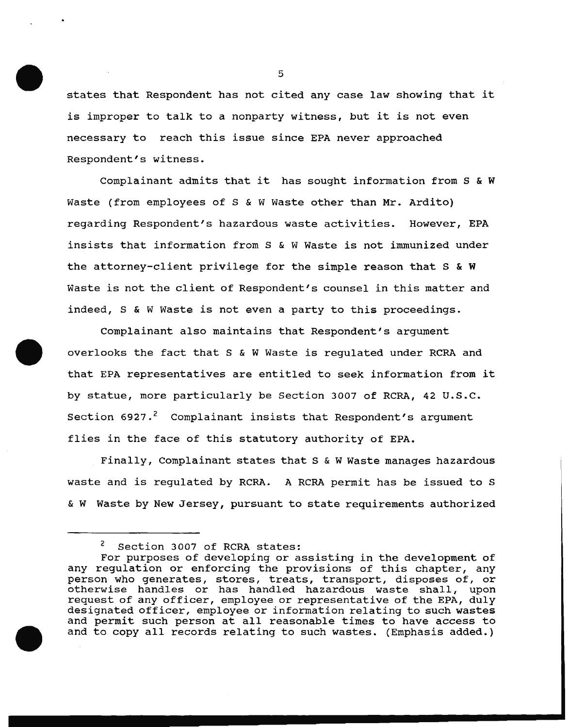states that Respondent has not cited any case law showing that it is improper to talk to a nonparty witness, but it is not even necessary to reach this issue since EPA never approached Respondent's witness.

Complainant admits that it has sought information from S & W Waste (from employees of S & W Waste other than Mr. Ardito) regarding Respondent's hazardous waste activities. However, EPA insists that information from S & W Waste is not immunized under the attorney-client privilege for the simple reason that S & W Waste is not the client of Respondent's counsel in this matter and indeed, S & W Waste is not even a party to this proceedings.

Complainant also maintains that Respondent's argument overlooks the fact that S & W Waste is regulated under RCRA and that EPA representatives are entitled to seek information from it by statue, more particularly be Section 3007 of RCRA, 42 U.S.C. Section  $6927.^2$  Complainant insists that Respondent's argument flies in the face of this statutory authority of EPA.

Finally, Complainant states that S & W Waste manages hazardous waste and is regulated by RCRA. A RCRA permit has be issued to S & W Waste by New Jersey, pursuant to state requirements authorized

<sup>&</sup>lt;sup>2</sup> Section 3007 of RCRA states:

For purposes of developing or assisting in the development of any regulation or enforcing the provisions of this chapter, any person who generates, stores, treats, transport, disposes of, or otherwise handles or has handled hazardous waste shall, upon request of any officer, employee or representative of the EPA, duly designated officer, employee or information relating to such wastes and permit such person at all reasonable times to have access to and to copy all records relating to such wastes. (Emphasis added.)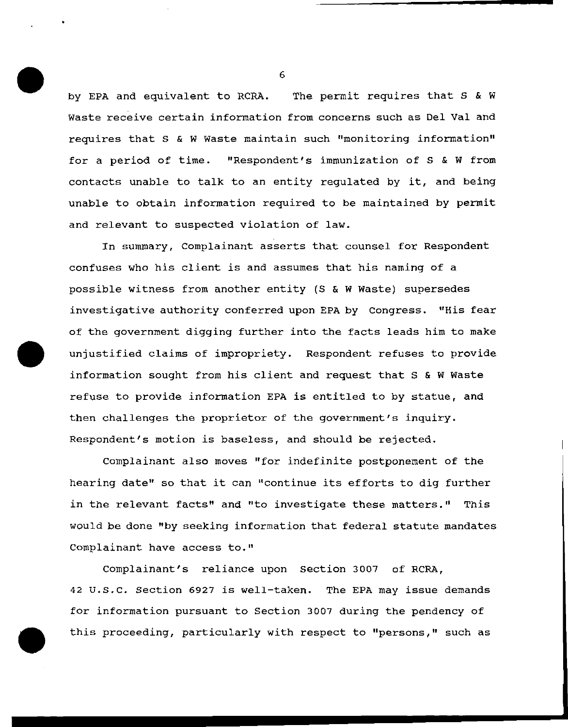by EPA and equivalent to RCRA. The permit requires that S & W Waste receive certain information from concerns such as Del Val and requires that s & W Waste maintain such "monitoring information" for a period of time. "Respondent's immunization of s & W from contacts unable to talk to an entity regulated by it, and being unable to obtain information required to be maintained by permit and relevant to suspected violation of law.

In summary, Complainant asserts that counsel for Respondent confuses who his client is and assumes that his naming of a possible witness from another entity (S & W Waste) supersedes investigative authority conferred upon EPA by Congress. "His fear of the government digging further into the facts leads him to make unjustified claims of impropriety. Respondent refuses to provide information sought from his client and request that S & W Waste refuse to provide information EPA is entitled to by statue, and then challenges the proprietor of the government's inquiry. Respondent's motion is baseless, and should be rejected.

complainant also moves "for indefinite postponement of the hearing date" so that it can "continue its efforts to dig further in the relevant facts" and "to investigate these matters." This would be done "by seeking information that federal statute mandates Complainant have access to."

Complainant's reliance upon Section 3007 of RCRA, 42 u.s.c. Section 6927 is well-taken. The EPA may issue demands for information pursuant to Section 3007 during the pendency of this proceeding, particularly with respect to "persons," such as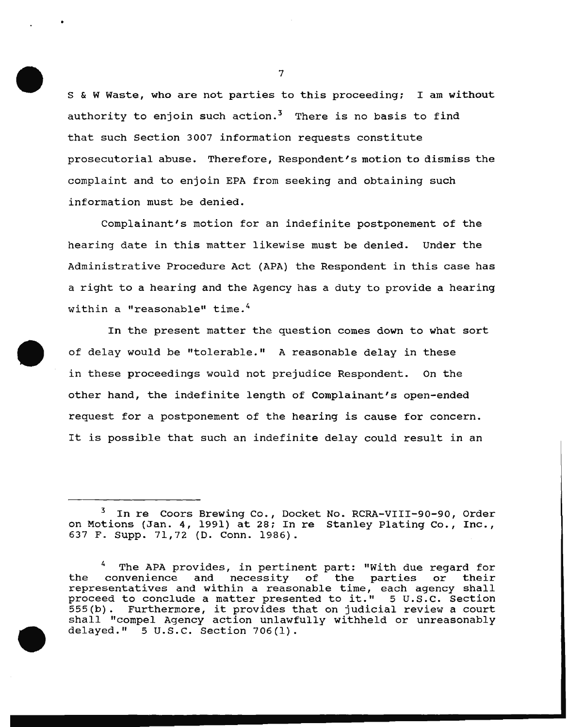s & W Waste, who are not parties to this proceeding; I am without authority to enjoin such action.<sup>3</sup> There is no basis to find that such Section 3007 information requests constitute prosecutorial abuse. Therefore, Respondent's motion to dismiss the complaint and to enjoin EPA from seeking and obtaining such information must be denied.

Complainant's motion for an indefinite postponement of the hearing date in this matter likewise must be denied. Under the Administrative Procedure Act (APA) the Respondent in this case has a right to a hearing and the Agency has a duty to provide a hearing within a "reasonable" time.<sup>4</sup>

In the present matter the question comes down to what sort of delay would be "tolerable." A reasonable delay in these in these proceedings would not prejudice Respondent. On the other hand, the indefinite length of Complainant's open-ended request for a postponement of the hearing is cause for concern. It is possible that such an indefinite delay could result in an

In re Coors Brewing Co., Docket No. RCRA-VIII-90-90, Order on Motions (Jan. 4, 1991) at 28; In re Stanley Plating Co., Inc., 637 F. Supp. 71,72 (D. Conn. 1986).

The APA provides, in pertinent part: "With due regard for<br>convenience and necessity of the parties or their the convenience and necessity of the parties or representatives and within a reasonable time, each agency shall<br>proceed to conclude a matter presented to it." 5 U.S.C. Section proceed to conclude a matter presented to it." 555(b). Furthermore, it provides that on judicial review a court shall "compel Agency action unlawfully withheld or unreasonably delayed." 5 u.s.c. Section 706(1).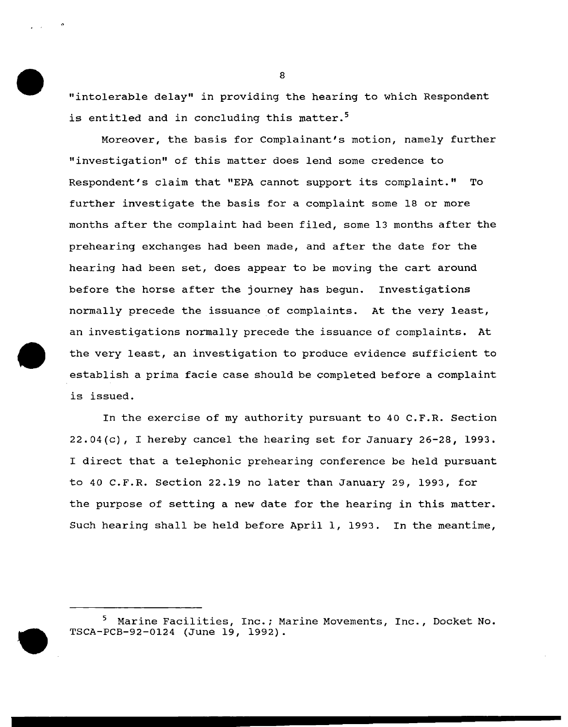"intolerable delay" in providing the hearing to which Respondent is entitled and in concluding this matter.<sup>5</sup>

Moreover, the basis for Complainant's motion, namely further "investigation" of this matter does lend some credence to Respondent's claim that "EPA cannot support its complaint." To further investigate the basis for a complaint some 18 or more months after the complaint had been filed, some 13 months after the prehearing exchanges had been made, and after the date for the hearing had been set, does appear to be moving the cart around before the horse after the journey has begun. Investigations normally precede the issuance of complaints. At the very least, an investigations normally precede the issuance of complaints. At the very least, an investigation to produce evidence sufficient to establish a prima facie case should be completed before a complaint is issued.

In the exercise of my authority pursuant to 40 C.F.R. Section 22.04(c), I hereby cancel the hearing set for January 26-28, 1993. I direct that a telephonic prehearing conference be held pursuant to 40 C.F.R. Section 22.19 no later than January 29, 1993, for the purpose of setting a new date for the hearing in this matter. Such hearing shall be held before April 1, 1993. In the meantime,

Marine Facilities, Inc.; Marine Movements, Inc., Docket No. TSCA-PCB-92-0124 (June 19, 1992}.